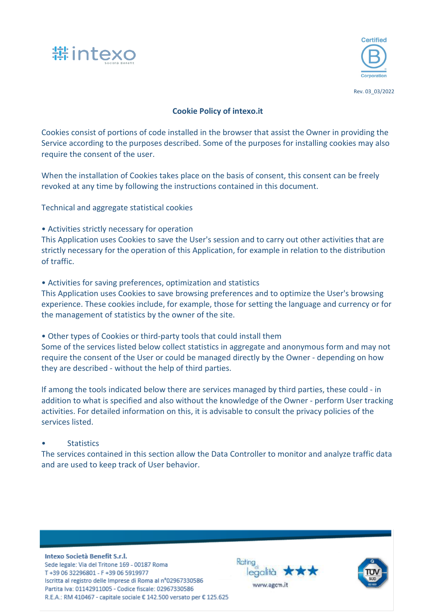



# **Cookie Policy of intexo.it**

Cookies consist of portions of code installed in the browser that assist the Owner in providing the Service according to the purposes described. Some of the purposes for installing cookies may also require the consent of the user.

When the installation of Cookies takes place on the basis of consent, this consent can be freely revoked at any time by following the instructions contained in this document.

Technical and aggregate statistical cookies

• Activities strictly necessary for operation

This Application uses Cookies to save the User's session and to carry out other activities that are strictly necessary for the operation of this Application, for example in relation to the distribution of traffic.

• Activities for saving preferences, optimization and statistics This Application uses Cookies to save browsing preferences and to optimize the User's browsing experience. These cookies include, for example, those for setting the language and currency or for the management of statistics by the owner of the site.

• Other types of Cookies or third-party tools that could install them Some of the services listed below collect statistics in aggregate and anonymous form and may not require the consent of the User or could be managed directly by the Owner - depending on how they are described - without the help of third parties.

If among the tools indicated below there are services managed by third parties, these could - in addition to what is specified and also without the knowledge of the Owner - perform User tracking activities. For detailed information on this, it is advisable to consult the privacy policies of the services listed.

**Statistics** 

The services contained in this section allow the Data Controller to monitor and analyze traffic data and are used to keep track of User behavior.

Intexo Società Benefit S.r.l. Sede legale: Via del Tritone 169 - 00187 Roma T+39 06 32296801 - F+39 06 5919977 Iscritta al registro delle Imprese di Roma al nº02967330586 Partita Iva: 01142911005 - Codice fiscale: 02967330586 R.E.A.: RM 410467 - capitale sociale € 142.500 versato per € 125.625



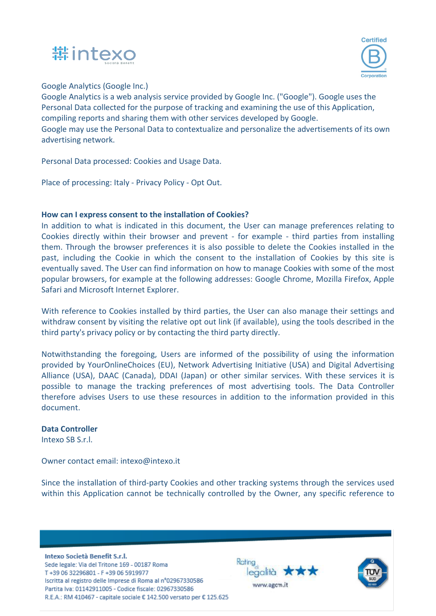



Google Analytics (Google Inc.)

Google Analytics is a web analysis service provided by Google Inc. ("Google"). Google uses the Personal Data collected for the purpose of tracking and examining the use of this Application, compiling reports and sharing them with other services developed by Google. Google may use the Personal Data to contextualize and personalize the advertisements of its own advertising network.

Personal Data processed: Cookies and Usage Data.

Place of processing: Italy - Privacy Policy - Opt Out.

# **How can I express consent to the installation of Cookies?**

In addition to what is indicated in this document, the User can manage preferences relating to Cookies directly within their browser and prevent - for example - third parties from installing them. Through the browser preferences it is also possible to delete the Cookies installed in the past, including the Cookie in which the consent to the installation of Cookies by this site is eventually saved. The User can find information on how to manage Cookies with some of the most popular browsers, for example at the following addresses: Google Chrome, Mozilla Firefox, Apple Safari and Microsoft Internet Explorer.

With reference to Cookies installed by third parties, the User can also manage their settings and withdraw consent by visiting the relative opt out link (if available), using the tools described in the third party's privacy policy or by contacting the third party directly.

Notwithstanding the foregoing, Users are informed of the possibility of using the information provided by YourOnlineChoices (EU), Network Advertising Initiative (USA) and Digital Advertising Alliance (USA), DAAC (Canada), DDAI (Japan) or other similar services. With these services it is possible to manage the tracking preferences of most advertising tools. The Data Controller therefore advises Users to use these resources in addition to the information provided in this document.

## **Data Controller**

Intexo SB S.r.l.

Owner contact email: intexo@intexo.it

Since the installation of third-party Cookies and other tracking systems through the services used within this Application cannot be technically controlled by the Owner, any specific reference to

Intexo Società Benefit S.r.l. Sede legale: Via del Tritone 169 - 00187 Roma T+39 06 32296801 - F+39 06 5919977 Iscritta al registro delle Imprese di Roma al nº02967330586 Partita Iva: 01142911005 - Codice fiscale: 02967330586 R.E.A.: RM 410467 - capitale sociale € 142.500 versato per € 125.625



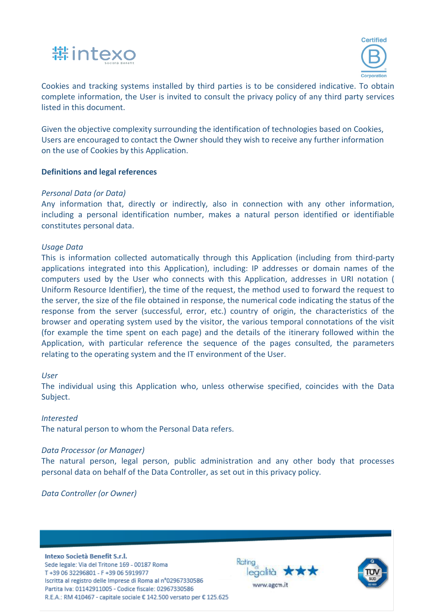



 Cookies and tracking systems installed by third parties is to be considered indicative. To obtain complete information, the User is invited to consult the privacy policy of any third party services listed in this document.

Given the objective complexity surrounding the identification of technologies based on Cookies, Users are encouraged to contact the Owner should they wish to receive any further information on the use of Cookies by this Application.

## **Definitions and legal references**

### *Personal Data (or Data)*

Any information that, directly or indirectly, also in connection with any other information, including a personal identification number, makes a natural person identified or identifiable constitutes personal data.

#### *Usage Data*

This is information collected automatically through this Application (including from third-party applications integrated into this Application), including: IP addresses or domain names of the computers used by the User who connects with this Application, addresses in URI notation ( Uniform Resource Identifier), the time of the request, the method used to forward the request to the server, the size of the file obtained in response, the numerical code indicating the status of the response from the server (successful, error, etc.) country of origin, the characteristics of the browser and operating system used by the visitor, the various temporal connotations of the visit (for example the time spent on each page) and the details of the itinerary followed within the Application, with particular reference the sequence of the pages consulted, the parameters relating to the operating system and the IT environment of the User.

#### *User*

The individual using this Application who, unless otherwise specified, coincides with the Data Subject.

#### *Interested*

The natural person to whom the Personal Data refers.

#### *Data Processor (or Manager)*

The natural person, legal person, public administration and any other body that processes personal data on behalf of the Data Controller, as set out in this privacy policy.

*Data Controller (or Owner)*

Intexo Società Benefit S.r.l.

Sede legale: Via del Tritone 169 - 00187 Roma T+39 06 32296801 - F+39 06 5919977 Iscritta al registro delle Imprese di Roma al nº02967330586 Partita Iva: 01142911005 - Codice fiscale: 02967330586 R.E.A.: RM 410467 - capitale sociale € 142.500 versato per € 125.625